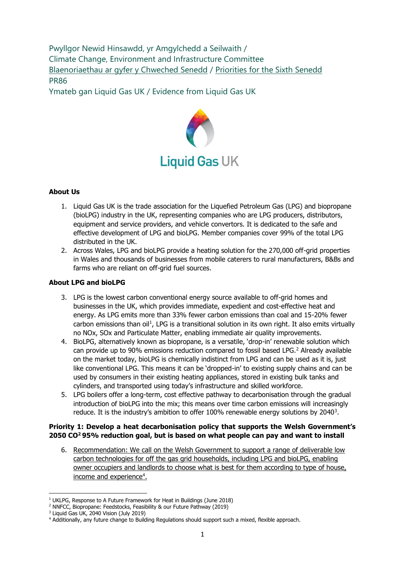Pwyllgor Newid Hinsawdd, yr Amgylchedd a Seilwaith / Climate Change, Environment and Infrastructure Committee [Blaenoriaethau ar gyfer y Chweched Senedd](https://busnes.senedd.cymru/mgConsultationDisplay.aspx?id=427&RPID=1026452002&cp=yes) / Priorities [for the Sixth Senedd](https://business.senedd.wales/mgConsultationDisplay.aspx?id=427&RPID=1026452002&cp=yes) PR86

Ymateb gan Liquid Gas UK / Evidence from Liquid Gas UK



# **About Us**

- 1. Liquid Gas UK is the trade association for the Liquefied Petroleum Gas (LPG) and biopropane (bioLPG) industry in the UK, representing companies who are LPG producers, distributors, equipment and service providers, and vehicle convertors. It is dedicated to the safe and effective development of LPG and bioLPG. Member companies cover 99% of the total LPG distributed in the UK.
- 2. Across Wales, LPG and bioLPG provide a heating solution for the 270,000 off-grid properties in Wales and thousands of businesses from mobile caterers to rural manufacturers, B&Bs and farms who are reliant on off-grid fuel sources.

## **About LPG and bioLPG**

- 3. LPG is the lowest carbon conventional energy source available to off-grid homes and businesses in the UK, which provides immediate, expedient and cost-effective heat and energy. As LPG emits more than 33% fewer carbon emissions than coal and 15-20% fewer carbon emissions than oil<sup>1</sup>, LPG is a transitional solution in its own right. It also emits virtually no NOx, SOx and Particulate Matter, enabling immediate air quality improvements.
- 4. BioLPG, alternatively known as biopropane, is a versatile, 'drop-in' renewable solution which can provide up to 90% emissions reduction compared to fossil based LPG.<sup>2</sup> Already available on the market today, bioLPG is chemically indistinct from LPG and can be used as it is, just like conventional LPG. This means it can be 'dropped-in' to existing supply chains and can be used by consumers in their existing heating appliances, stored in existing bulk tanks and cylinders, and transported using today's infrastructure and skilled workforce.
- 5. LPG boilers offer a long-term, cost effective pathway to decarbonisation through the gradual introduction of bioLPG into the mix; this means over time carbon emissions will increasingly reduce. It is the industry's ambition to offer  $100\%$  renewable energy solutions by 2040<sup>3</sup>.

## **Priority 1: Develop a heat decarbonisation policy that supports the Welsh Government's 2050 CO<sup>2</sup>95% reduction goal, but is based on what people can pay and want to install**

6. Recommendation: We call on the Welsh Government to support a range of deliverable low carbon technologies for off the gas grid households, including LPG and bioLPG, enabling owner occupiers and landlords to choose what is best for them according to type of house, income and experience<sup>4</sup>.

<sup>&</sup>lt;sup>1</sup> UKLPG, Response to A Future Framework for Heat in Buildings (June 2018)

<sup>2</sup> NNFCC, Biopropane: Feedstocks, Feasibility & our Future Pathway (2019)

<sup>3</sup> Liquid Gas UK, 2040 Vision (July 2019)

<sup>4</sup> Additionally, any future change to Building Regulations should support such a mixed, flexible approach.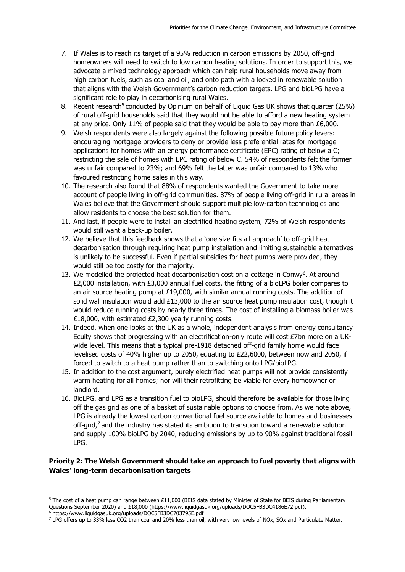- 7. If Wales is to reach its target of a 95% reduction in carbon emissions by 2050, off-grid homeowners will need to switch to low carbon heating solutions. In order to support this, we advocate a mixed technology approach which can help rural households move away from high carbon fuels, such as coal and oil, and onto path with a locked in renewable solution that aligns with the Welsh Government's carbon reduction targets. LPG and bioLPG have a significant role to play in decarbonising rural Wales.
- 8. Recent research<sup>5</sup> conducted by Opinium on behalf of Liquid Gas UK shows that quarter (25%) of rural off-grid households said that they would not be able to afford a new heating system at any price. Only 11% of people said that they would be able to pay more than  $£6,000$ .
- 9. Welsh respondents were also largely against the following possible future policy levers: encouraging mortgage providers to deny or provide less preferential rates for mortgage applications for homes with an energy performance certificate (EPC) rating of below a C; restricting the sale of homes with EPC rating of below C. 54% of respondents felt the former was unfair compared to 23%; and 69% felt the latter was unfair compared to 13% who favoured restricting home sales in this way.
- 10. The research also found that 88% of respondents wanted the Government to take more account of people living in off-grid communities. 87% of people living off-grid in rural areas in Wales believe that the Government should support multiple low-carbon technologies and allow residents to choose the best solution for them.
- 11. And last, if people were to install an electrified heating system, 72% of Welsh respondents would still want a back-up boiler.
- 12. We believe that this feedback shows that a 'one size fits all approach' to off-grid heat decarbonisation through requiring heat pump installation and limiting sustainable alternatives is unlikely to be successful. Even if partial subsidies for heat pumps were provided, they would still be too costly for the majority.
- 13. We modelled the projected heat decarbonisation cost on a cottage in Conwy<sup>6</sup>. At around £2,000 installation, with £3,000 annual fuel costs, the fitting of a bioLPG boiler compares to an air source heating pump at  $£19,000$ , with similar annual running costs. The addition of solid wall insulation would add  $£13,000$  to the air source heat pump insulation cost, though it would reduce running costs by nearly three times. The cost of installing a biomass boiler was £18,000, with estimated £2,300 yearly running costs.
- 14. Indeed, when one looks at the UK as a whole, independent analysis from energy consultancy Ecuity shows that progressing with an electrification-only route will cost £7bn more on a UKwide level. This means that a typical pre-1918 detached off-grid family home would face levelised costs of 40% higher up to 2050, equating to £22,6000, between now and 2050, if forced to switch to a heat pump rather than to switching onto LPG/bioLPG.
- 15. In addition to the cost argument, purely electrified heat pumps will not provide consistently warm heating for all homes; nor will their retrofitting be viable for every homeowner or landlord.
- 16. BioLPG, and LPG as a transition fuel to bioLPG, should therefore be available for those living off the gas grid as one of a basket of sustainable options to choose from. As we note above, LPG is already the lowest carbon conventional fuel source available to homes and businesses off-grid,<sup>7</sup> and the industry has stated its ambition to transition toward a renewable solution and supply 100% bioLPG by 2040, reducing emissions by up to 90% against traditional fossil LPG.

# **Priority 2: The Welsh Government should take an approach to fuel poverty that aligns with Wales' long-term decarbonisation targets**

<sup>5</sup> The cost of a heat pump can range between £11,000 (BEIS data stated by Minister of State for BEIS during Parliamentary Questions September 2020) and £18,000 (https://www.liquidgasuk.org/uploads/DOC5FB3DC4186E72.pdf). <sup>6</sup> https://www.liquidgasuk.org/uploads/DOC5FB3DC703795E.pdf

<sup>&</sup>lt;sup>7</sup> LPG offers up to 33% less CO2 than coal and 20% less than oil, with very low levels of NOx, SOx and Particulate Matter.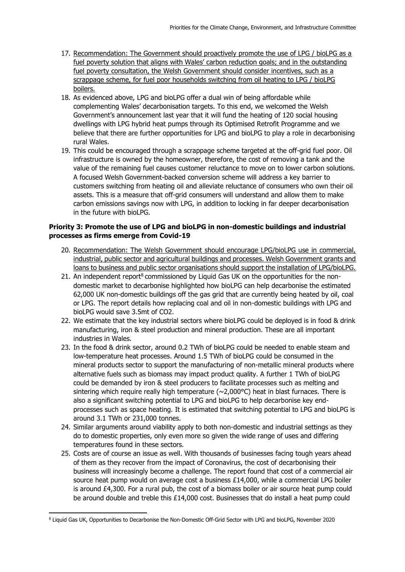- 17. Recommendation: The Government should proactively promote the use of LPG / bioLPG as a fuel poverty solution that aligns with Wales' carbon reduction goals; and in the outstanding fuel poverty consultation, the Welsh Government should consider incentives, such as a scrappage scheme, for fuel poor households switching from oil heating to LPG / bioLPG boilers.
- 18. As evidenced above, LPG and bioLPG offer a dual win of being affordable while complementing Wales' decarbonisation targets. To this end, we welcomed the Welsh Government's announcement last year that it will fund the heating of 120 social housing dwellings with LPG hybrid heat pumps through its Optimised Retrofit Programme and we believe that there are further opportunities for LPG and bioLPG to play a role in decarbonising rural Wales.
- 19. This could be encouraged through a scrappage scheme targeted at the off-grid fuel poor. Oil infrastructure is owned by the homeowner, therefore, the cost of removing a tank and the value of the remaining fuel causes customer reluctance to move on to lower carbon solutions. A focused Welsh Government-backed conversion scheme will address a key barrier to customers switching from heating oil and alleviate reluctance of consumers who own their oil assets. This is a measure that off-grid consumers will understand and allow them to make carbon emissions savings now with LPG, in addition to locking in far deeper decarbonisation in the future with bioLPG.

## **Priority 3: Promote the use of LPG and bioLPG in non-domestic buildings and industrial processes as firms emerge from Covid-19**

- 20. Recommendation: The Welsh Government should encourage LPG/bioLPG use in commercial, industrial, public sector and agricultural buildings and processes. Welsh Government grants and loans to business and public sector organisations should support the installation of LPG/bioLPG.
- 21. An independent report<sup>8</sup> commissioned by Liquid Gas UK on the opportunities for the nondomestic market to decarbonise highlighted how bioLPG can help decarbonise the estimated 62,000 UK non-domestic buildings off the gas grid that are currently being heated by oil, coal or LPG. The report details how replacing coal and oil in non-domestic buildings with LPG and bioLPG would save 3.5mt of CO2.
- 22. We estimate that the key industrial sectors where bioLPG could be deployed is in food & drink manufacturing, iron & steel production and mineral production. These are all important industries in Wales.
- 23. In the food & drink sector, around 0.2 TWh of bioLPG could be needed to enable steam and low-temperature heat processes. Around 1.5 TWh of bioLPG could be consumed in the mineral products sector to support the manufacturing of non-metallic mineral products where alternative fuels such as biomass may impact product quality. A further 1 TWh of bioLPG could be demanded by iron & steel producers to facilitate processes such as melting and sintering which require really high temperature ( $\sim$ 2,000 $\degree$ C) heat in blast furnaces. There is also a significant switching potential to LPG and bioLPG to help decarbonise key endprocesses such as space heating. It is estimated that switching potential to LPG and bioLPG is around 3.1 TWh or 231,000 tonnes.
- 24. Similar arguments around viability apply to both non-domestic and industrial settings as they do to domestic properties, only even more so given the wide range of uses and differing temperatures found in these sectors.
- 25. Costs are of course an issue as well. With thousands of businesses facing tough years ahead of them as they recover from the impact of Coronavirus, the cost of decarbonising their business will increasingly become a challenge. The report found that cost of a commercial air source heat pump would on average cost a business £14,000, while a commercial LPG boiler is around £4,300. For a rural pub, the cost of a biomass boiler or air source heat pump could be around double and treble this £14,000 cost. Businesses that do install a heat pump could

<sup>8</sup> Liquid Gas UK, Opportunities to Decarbonise the Non-Domestic Off-Grid Sector with LPG and bioLPG, November 2020